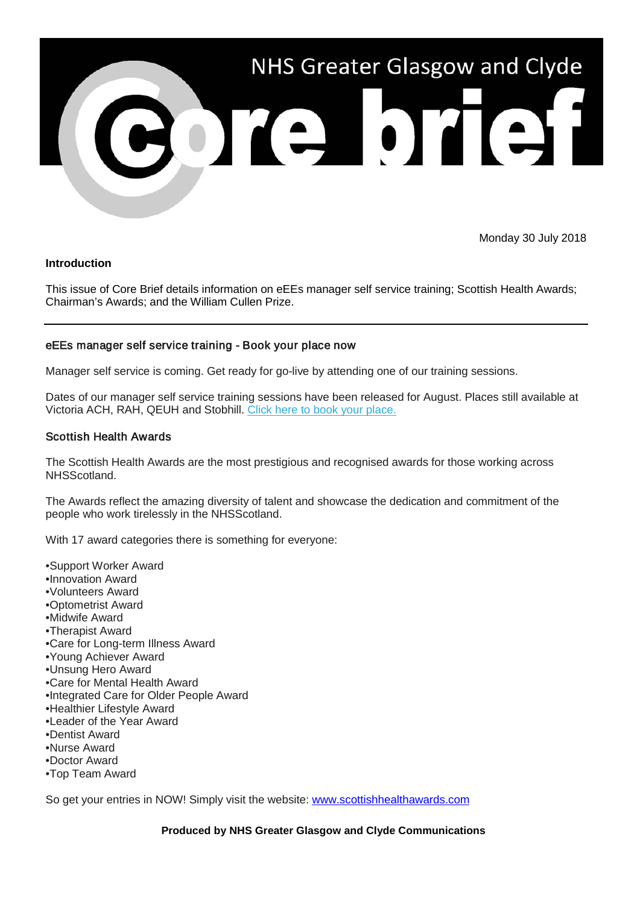

Monday 30 July 2018

#### **Introduction**

This issue of Core Brief details information on eEEs manager self service training; Scottish Health Awards; Chairman's Awards; and the William Cullen Prize.

# eEEs manager self service training - Book your place now

Manager self service is coming. Get ready for go-live by attending one of our training sessions.

Dates of our manager self service training sessions have been released for August. Places still available at Victoria ACH, RAH, QEUH and Stobhill. [Click here to book your place.](https://nhsggc.us12.list-manage.com/track/click?u=0f385b5aea37eaf0213bd19fb&id=ec01f36bc3&e=5af5e1832c)

### Scottish Health Awards

The Scottish Health Awards are the most prestigious and recognised awards for those working across NHSScotland.

The Awards reflect the amazing diversity of talent and showcase the dedication and commitment of the people who work tirelessly in the NHSScotland.

With 17 award categories there is something for everyone:

•Support Worker Award •Innovation Award •Volunteers Award •Optometrist Award •Midwife Award •Therapist Award •Care for Long-term Illness Award •Young Achiever Award •Unsung Hero Award •Care for Mental Health Award •Integrated Care for Older People Award •Healthier Lifestyle Award •Leader of the Year Award •Dentist Award •Nurse Award •Doctor Award •Top Team Award

So get your entries in NOW! Simply visit the website: [www.scottishhealthawards.com](http://www.scottishhealthawards.com/)

**Produced by NHS Greater Glasgow and Clyde Communications**